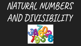## NATURAL NUMBERS AND DIVISIBILITY

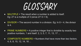## GLOSSARY

- $\bullet$  MULTIPLE = The result when a number is added to itself. Eg: 27 is a multiple of 3 (since  $27\div 3 = 9$ ).
- DIVISOR = The second number in a division. Eg: In  $8 \div 4$ , the divisor is 4.
- $\bullet$  PRIME NUMBERS = A positive integer that is divisible by exactly two positive numbers, 1 and itself. 2, 3, 5, 7, 11, 13, 17 ...
- COMPOSITE NUMBERS = Numbers that have more than two factors. 4, 6, 8, 10, 12, 14, 16 ...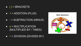- $\bullet$   $\div$  = DIVISION (DIVIDED BY)
- $\bullet$   $x =$  MULTIPLICATION (MULTIPLIED BY / TIMES)
- $\bullet$  = SUBTRACTION (MINUS)
- $\bullet$  + = ADDITION (PLUS)
- $\bullet$  ( ) = BRACKETS